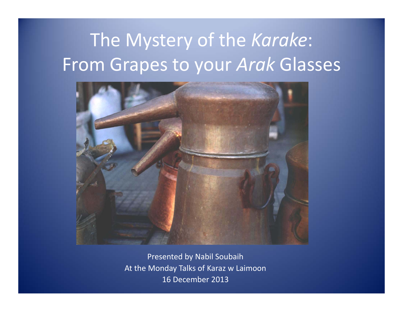# The Mystery of the *Karake*: From Grapes to your *Arak* Glasses



Presented by Nabil Soubaih At the Monday Talks of Karaz <sup>w</sup> Laimoon 16 December 2013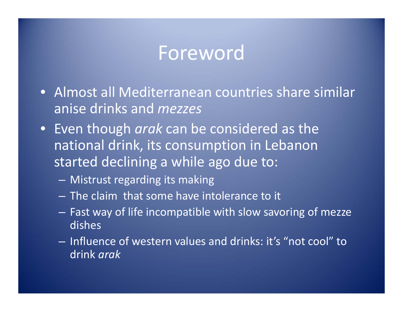### Foreword

- Almost all Mediterranean countries share similar anise drinks and *mezzes*
- Even though *arak* can be considered as the national drink, its consumption in Lebanon started declining <sup>a</sup> while ago due to:
	- Mistrust regarding its making
	- The claim that some have intolerance to it
	- $-$  Fast way of life incompatible with slow savoring of mezze dishes
	- Influence of western values and drinks: it's "not cool" to drink *arak*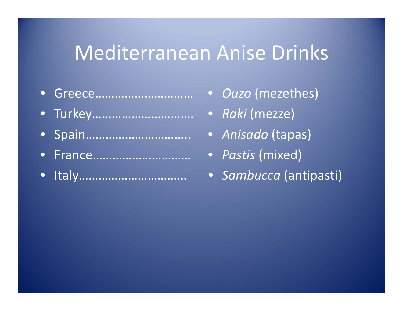## Mediterranean Anise Drinks

- •Greece…………………………
- •Turkey………………………….
- •Spain…………………………..
- •France…………………………
- •Italy……………………………
- *Ouzo* (mezethes)
- *Raki* (mezze)
- *Anisado* (tapas)
- *Pastis* (mixed)
- *Sambucca* (antipasti)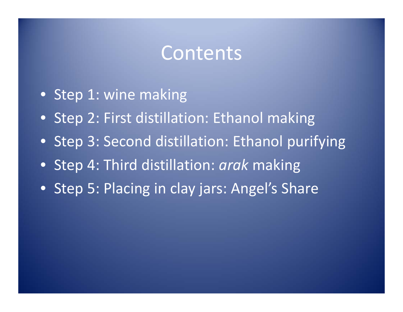#### Contents

- Step 1: wine making
- Step 2: First distillation: Ethanol making
- Step 3: Second distillation: Ethanol purifying
- Step 4: Third distillation: *arak* making
- Step 5: Placing in clay jars: Angel's Share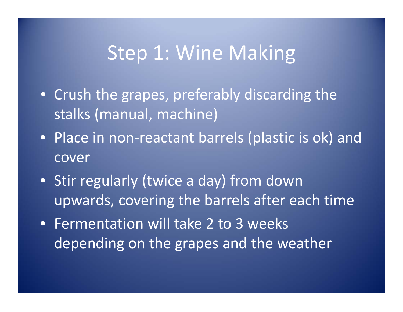# Step 1: Wine Making

- Crush the grapes, preferably discarding the stalks (manual, machine)
- Place in non‐reactant barrels (plastic is ok) and cover
- Stir regularly (twice <sup>a</sup> day) from down upwards, covering the barrels after each time
- Fermentation will take 2 to 3 weeks depending on the grapes and the weather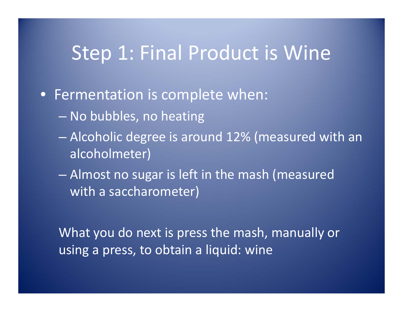# Step 1: Final Product is Wine

#### • Fermentation is complete when:

- No bubbles, no heating
- Alcoholic degree is around 12% (measured with an alcoholmeter)
- Almost no sugar is left in the mash (measured with <sup>a</sup> saccharometer)

What you do next is press the mash, manually or using <sup>a</sup> press, to obtain <sup>a</sup> liquid: wine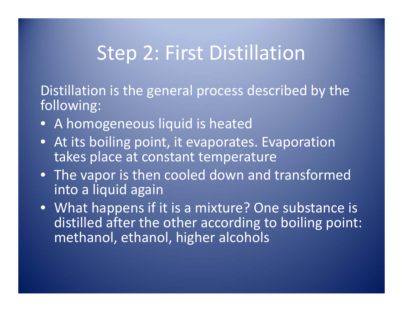# Step 2: First Distillation

Distillation is the general process described by the following:

- A homogeneous liquid is heated
- At its boiling point, it evaporates. Evaporation takes place at constant temperature
- The vapor is then cooled down and transformed into <sup>a</sup> liquid again
- What happens if it is <sup>a</sup> mixture? One substance is distilled after the other according to boiling point: methanol, ethanol, higher alcohols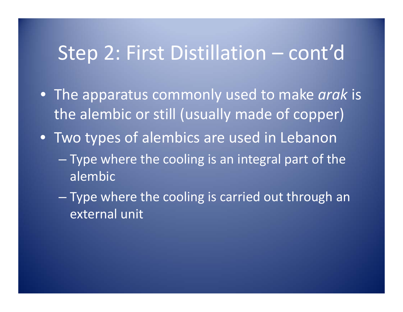# Step 2: First Distillation – cont'd

- The apparatus commonly used to make *arak* is the alembic or still (usually made of copper)
- Two types of alembics are used in Lebanon
	- Type where the cooling is an integral part of the alembic
	- Type where the cooling is carried out through an external unit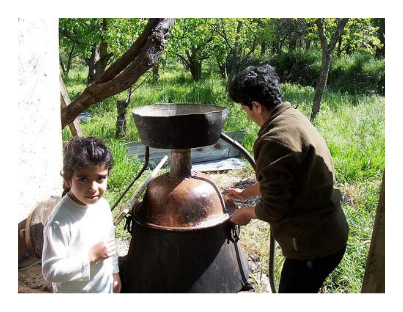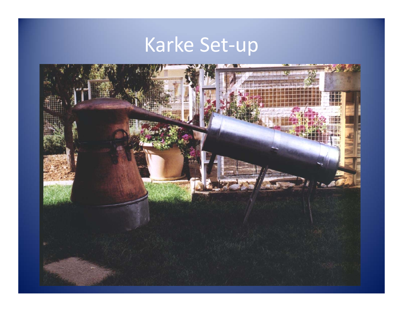

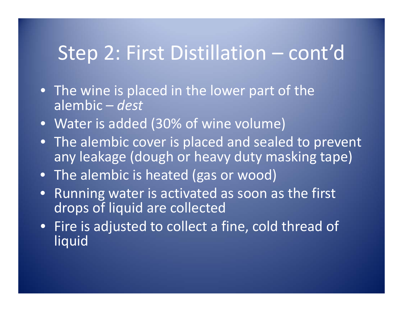# Step 2: First Distillation – cont'd

- The wine is placed in the lower part of the alembic – *dest*
- Water is added (30% of wine volume)
- The alembic cover is placed and sealed to prevent any leakage (dough or heavy duty masking tape)
- The alembic is heated (gas or wood)
- • Running water is activated as soon as the first drops of liquid are collected
- Fire is adjusted to collect <sup>a</sup> fine, cold thread of liquid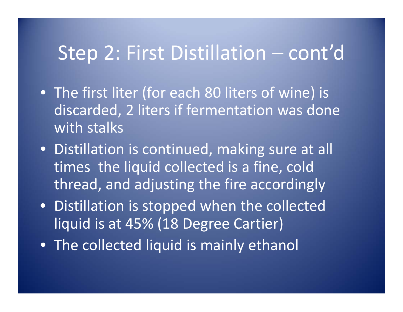# Step 2: First Distillation – cont'd

- The first liter (for each 80 liters of wine) is discarded, 2 liters if fermentation was done with stalks
- Distillation is continued, making sure at all times the liquid collected is <sup>a</sup> fine, cold thread, and adjusting the fire accordingly
- Distillation is stopped when the collected liquid is at 45% (18 Degree Cartier)
- The collected liquid is mainly ethanol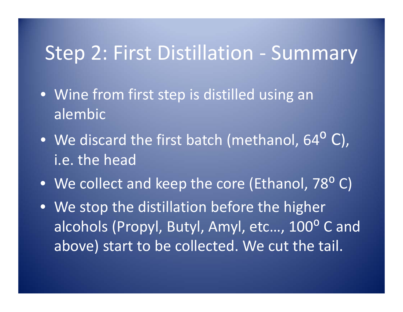# Step 2: First Distillation ‐ Summary

- Wine from first step is distilled using an alembic
- We discard the first batch (methanol, 64<sup>o</sup> C), i.e. the head
- We collect and keep the core (Ethanol, 78<sup>o</sup> C)
- We stop the distillation before the higher alcohols (Propyl, Butyl, Amyl, etc..., 100<sup>o</sup> C and above) start to be collected. We cut the tail.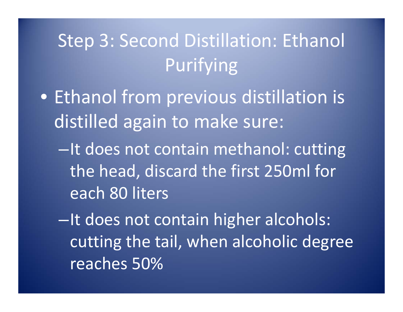# Step 3: Second Distillation: Ethanol Purifying

- Ethanol from previous distillation is distilled again to make sure:
	- –It does not contain methanol: cutting the head, discard the first 250ml for each 80 liters
	- –It does not contain higher alcohols: cutting the tail, when alcoholic degree reaches 50%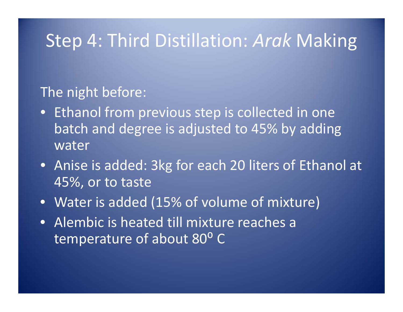### Step 4: Third Distillation: *Arak* Making

#### The night before:

- • Ethanol from previous step is collected in one batch and degree is adjusted to 45% by adding water
- Anise is added: 3kg for each 20 liters of Ethanol at 45%, or to taste
- Water is added (15% of volume of mixture)
- Alembic is heated till mixture reaches <sup>a</sup> temperature of about 80<sup>o</sup> C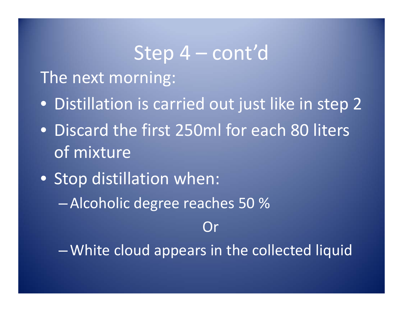## Step 4 – cont'd

The next morning:

- Distillation is carried out just like in step 2
- Discard the first 250ml for each 80 liters of mixture
- Stop distillation when:
	- $\mathcal{L}_{\mathcal{A}}$ Alcoholic degree reaches 50 %

Or

–White cloud appears in the collected liquid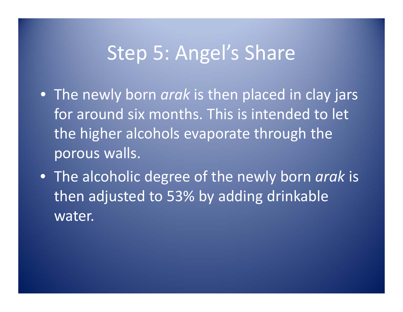# Step 5: Angel's Share

- The newly born *arak* is then placed in clay jars for around six months. This is intended to let the higher alcohols evaporate through the porous walls.
- The alcoholic degree of the newly born *arak* is then adjusted to 53% by adding drinkable water.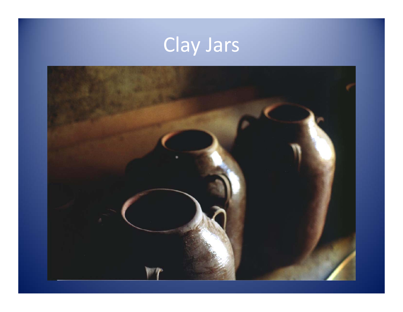

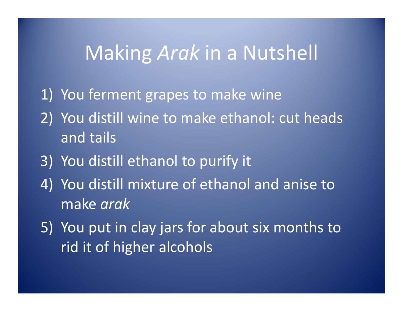# Making *Arak* in <sup>a</sup> Nutshell

- 1) You ferment grapes to make wine
- 2) You distill wine to make ethanol: cut heads and tails
- 3) You distill ethanol to purify it
- 4) You distill mixture of ethanol and anise to make *arak*
- 5) You put in clay jars for about six months to rid it of higher alcohols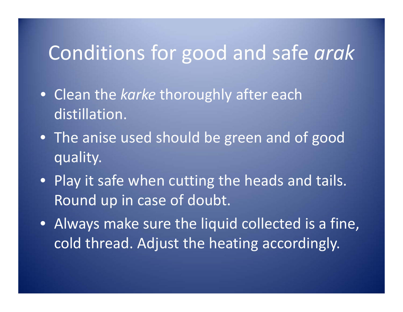# Conditions for good and safe *arak*

- Clean the *karke* thoroughly after each distillation.
- The anise used should be green and of good quality.
- Play it safe when cutting the heads and tails. Round up in case of doubt.
- Always make sure the liquid collected is <sup>a</sup> fine, cold thread. Adjust the heating accordingly.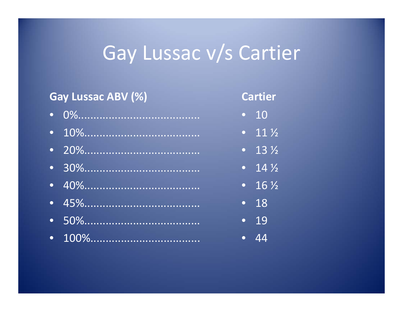# Gay Lussac v/s Cartier

**Cartier** 

#### Gay Lussac ABV (%)

|         | $\bullet$ 10               |
|---------|----------------------------|
| $-10\%$ | • $11\%$                   |
|         | • $13\frac{1}{2}$          |
|         | $\bullet$ 14 $\frac{1}{2}$ |
| $-40\%$ | • $16\frac{1}{2}$          |
| $-45%$  | $\bullet$ 18               |
|         | $\bullet$ 19               |
|         | • $44$                     |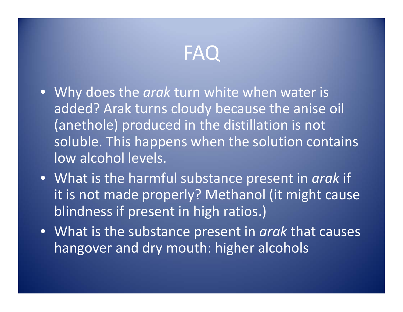## FAQ

- Why does the *arak* turn white when water is added? Arak turns cloudy because the anise oil (anethole) produced in the distillation is not soluble. This happens when the solution contains low alcohol levels.
- What is the harmful substance present in *arak* if it is not made properly? Methanol (it might cause blindness if present in high ratios.)
- What is the substance present in *arak* that causes hangover and dry mouth: higher alcohols